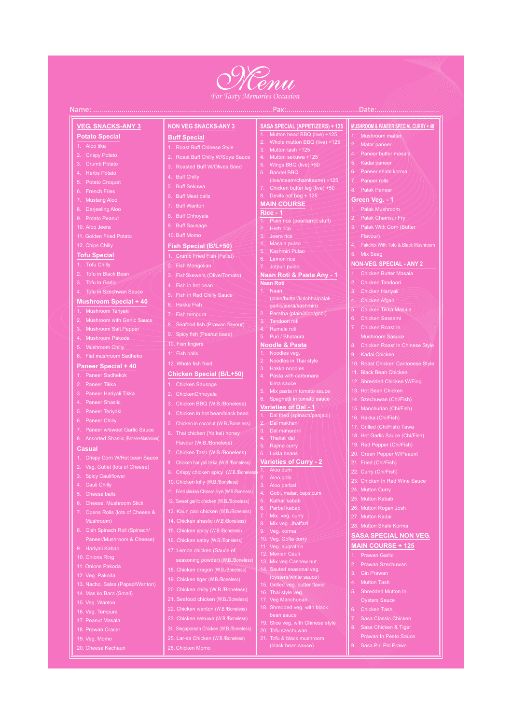

#### **For Tasty Memories Occasion**

#### Name: .......

### **VEG. SNACKS-ANY 3**

# **Potato Special**

- 2. Crispy Potato
- 
- 
- 
- 
- 
- 
- 
- 
- 
- 

#### **Tofu Special**

- 1. Tofu Chilly
- 
- 
- 4. Tofu in Szechwan Sauce

#### **Mushroom Special + 40**

- Mushroom with Garlic Sauce
- Mushroom Salt Papper
- 
- 
- 

# **Paneer Special + 40**

- 
- 
- 
- 
- 
- 
- 
- 

#### **Casual**

- 1. Crispy Corn W/Hot bean Sauce
- 2. Veg. Cutlet (lots of Cheese)
- 
- 
- 
- 6. Cheese, Mushroom Stick
- 7. Opens Rolls (lots of Cheese &
- 
- Paneer/Mushroom & Cheese)

### **NON VEG SNACKS-ANY 3**

#### **Buff Special**

- 
- 
- 3. Roasted Buff W/Olives Seed
- 
- 
- 
- 
- 
- 9. Buff Sausage
- 
- 

## Fish Special (B/L+50)

- 1. Crumb Fried Fish (Fellet)
- 2. Fish Mongolian
- 
- 
- 
- 6. Hakka Fish
- 
- 
- 
- 
- 10. Fish fingers
- 
- 12. Whole fish fried

### **Chicken Special (B/L+50)**

- 1. Chicken Sausage
- 
- 3. Chicken BBQ (W.B./Boneless)
- 
- 
- 
- 
- 
- Chicken Tash (W.B./Boneless)
- 
- 9. Crispy chicken spicy (W.B./Bonele
- -
- 12. Sweet garlic chicken (W.B./Boneless)
- 
- 14. Chicken shaslic (W.B./Boneless)
- 15. Chicken spicy (W.B./Boneless)
	-

# **MUSHROOM & PANEER SPECIAL CURRY + 40**

Matar paneer

Kadai paneer

Paneer rolls

Green Veg. - 1

5. Mix Saag

**NON-VEG. SPECIAL - ANY 2** 

Chicken Butter Masala

Chicken Tikka Masala

Chicken Roast In Chinese Style

10. Roast Chicken Cantonese Style

11. Black Bean Chicken

13. Hot Bean Chicken

19. Red Pepper (Chi/Fish)

20. Green Pepper W/Peaunt

Chicken Hariyali

Chicken Afgani

# **SASA SPECIAL (APPETIZERS) + 125**

Mutton head BBQ (live) +125<br>Whole mutton BBQ (live) +125<br>Mutton tash +125

Chicken butter leg (live) +50

- 
- 
- 

8. Devils hot bag + 125

Kashmiri Pulao

**Noodle & Pasta** 

Noodles veg.<br>Noodles in Thai style

6. Spaghetti in tomato sauce

Varieties of Dal - 1

Varieties of Curry - 2

Aloo dum

Mix. veg. curry

Veg. korma

10. Veg. Cofta curry

Mix veg. Jhalfazi

1. Plain rice (pea/carrot stuff)

Naan Roti & Pasta Any - 1

**MAIN COURSE** 

Rice - 1

2. Herb rice Jeera rice

**Naan Roti Naan** 

. Hariyali Kabab 12. Veg. Pakoda 16. Veg. Tempura 19. Veg. Momo

seasoning powder) (W.B./Boneless) 18. Chicken dragon (W.B./Boneless) 19. Chicken tiger (W.B./Boneless) 24. Singaporean Chicken (W.B./Boneless)

(oysters/white sauce) 16. Thai style veg. 17. Veg Manchurian 18. Shredded veg. with black bean sauce 20. Tofu szechuwan

### **MAIN COURSE + 125**

**SASA SPECIAL NON VEG.** 

25. Mutton Kabab

27. Mutton Kadai

26. Mutton Rogan Josh

- 
- 
- **Mutton Tash**
- 

**Oysters Sauce** 

- 
- Sasa Classic Chicken
- Sasa Chicken & Tiger
	- Prawan In Pesto Sauce
-